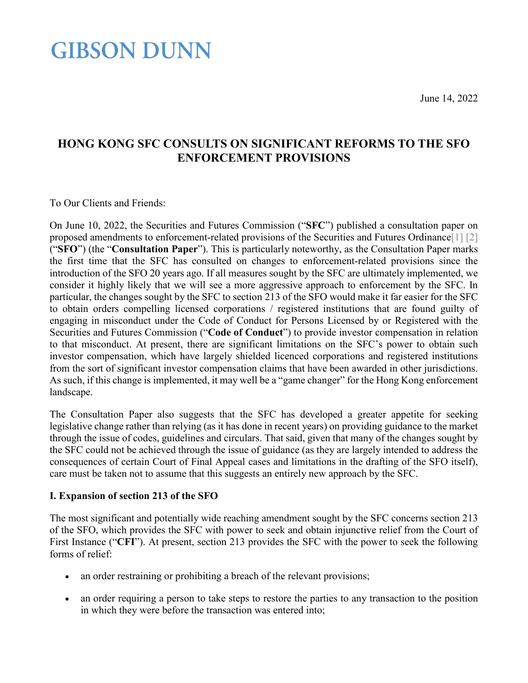#### June 14, 2022

## **GIBSON DUNN**

#### **HONG KONG SFC CONSULTS ON SIGNIFICANT REFORMS TO THE SFO ENFORCEMENT PROVISIONS**

<span id="page-0-0"></span>To Our Clients and Friends:

On June 10, 2022, the Securities and Futures Commission ("**SFC**") published a consultation paper on proposed amendments to enforcement-related provisions of the Securities and Futures Ordinanc[e\[1\]](#page-5-0) [\[2\]](#page-5-1) ("**SFO**") (the "**Consultation Paper**"). This is particularly noteworthy, as the Consultation Paper marks the first time that the SFC has consulted on changes to enforcement-related provisions since the introduction of the SFO 20 years ago. If all measures sought by the SFC are ultimately implemented, we consider it highly likely that we will see a more aggressive approach to enforcement by the SFC. In particular, the changes sought by the SFC to section 213 of the SFO would make it far easier for the SFC to obtain orders compelling licensed corporations / registered institutions that are found guilty of engaging in misconduct under the Code of Conduct for Persons Licensed by or Registered with the Securities and Futures Commission ("**Code of Conduct**") to provide investor compensation in relation to that misconduct. At present, there are significant limitations on the SFC's power to obtain such investor compensation, which have largely shielded licenced corporations and registered institutions from the sort of significant investor compensation claims that have been awarded in other jurisdictions. As such, if this change is implemented, it may well be a "game changer" for the Hong Kong enforcement landscape.

The Consultation Paper also suggests that the SFC has developed a greater appetite for seeking legislative change rather than relying (as it has done in recent years) on providing guidance to the market through the issue of codes, guidelines and circulars. That said, given that many of the changes sought by the SFC could not be achieved through the issue of guidance (as they are largely intended to address the consequences of certain Court of Final Appeal cases and limitations in the drafting of the SFO itself), care must be taken not to assume that this suggests an entirely new approach by the SFC.

#### **I. Expansion of section 213 of the SFO**

The most significant and potentially wide reaching amendment sought by the SFC concerns section 213 of the SFO, which provides the SFC with power to seek and obtain injunctive relief from the Court of First Instance ("**CFI**"). At present, section 213 provides the SFC with the power to seek the following forms of relief:

- an order restraining or prohibiting a breach of the relevant provisions;
- an order requiring a person to take steps to restore the parties to any transaction to the position in which they were before the transaction was entered into;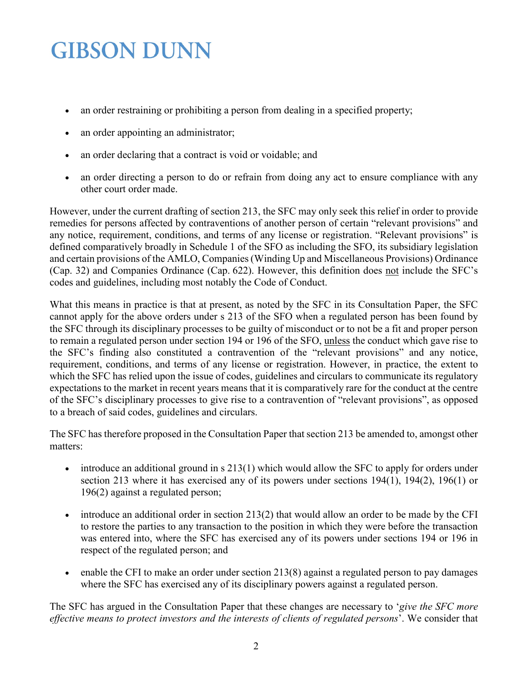- an order restraining or prohibiting a person from dealing in a specified property;
- an order appointing an administrator;
- an order declaring that a contract is void or voidable; and
- an order directing a person to do or refrain from doing any act to ensure compliance with any other court order made.

However, under the current drafting of section 213, the SFC may only seek this relief in order to provide remedies for persons affected by contraventions of another person of certain "relevant provisions" and any notice, requirement, conditions, and terms of any license or registration. "Relevant provisions" is defined comparatively broadly in Schedule 1 of the SFO as including the SFO, its subsidiary legislation and certain provisions of the AMLO, Companies (Winding Up and Miscellaneous Provisions) Ordinance (Cap. 32) and Companies Ordinance (Cap. 622). However, this definition does not include the SFC's codes and guidelines, including most notably the Code of Conduct.

What this means in practice is that at present, as noted by the SFC in its Consultation Paper, the SFC cannot apply for the above orders under s 213 of the SFO when a regulated person has been found by the SFC through its disciplinary processes to be guilty of misconduct or to not be a fit and proper person to remain a regulated person under section 194 or 196 of the SFO, unless the conduct which gave rise to the SFC's finding also constituted a contravention of the "relevant provisions" and any notice, requirement, conditions, and terms of any license or registration. However, in practice, the extent to which the SFC has relied upon the issue of codes, guidelines and circulars to communicate its regulatory expectations to the market in recent years means that it is comparatively rare for the conduct at the centre of the SFC's disciplinary processes to give rise to a contravention of "relevant provisions", as opposed to a breach of said codes, guidelines and circulars.

The SFC has therefore proposed in the Consultation Paper that section 213 be amended to, amongst other matters:

- introduce an additional ground in s 213(1) which would allow the SFC to apply for orders under section 213 where it has exercised any of its powers under sections 194(1), 194(2), 196(1) or 196(2) against a regulated person;
- introduce an additional order in section 213(2) that would allow an order to be made by the CFI to restore the parties to any transaction to the position in which they were before the transaction was entered into, where the SFC has exercised any of its powers under sections 194 or 196 in respect of the regulated person; and
- enable the CFI to make an order under section 213(8) against a regulated person to pay damages where the SFC has exercised any of its disciplinary powers against a regulated person.

The SFC has argued in the Consultation Paper that these changes are necessary to '*give the SFC more effective means to protect investors and the interests of clients of regulated persons*'. We consider that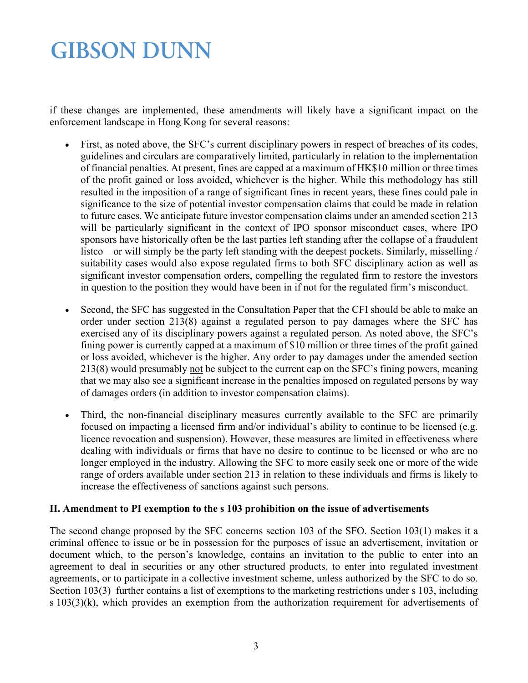if these changes are implemented, these amendments will likely have a significant impact on the enforcement landscape in Hong Kong for several reasons:

- First, as noted above, the SFC's current disciplinary powers in respect of breaches of its codes, guidelines and circulars are comparatively limited, particularly in relation to the implementation of financial penalties. At present, fines are capped at a maximum of HK\$10 million or three times of the profit gained or loss avoided, whichever is the higher. While this methodology has still resulted in the imposition of a range of significant fines in recent years, these fines could pale in significance to the size of potential investor compensation claims that could be made in relation to future cases. We anticipate future investor compensation claims under an amended section 213 will be particularly significant in the context of IPO sponsor misconduct cases, where IPO sponsors have historically often be the last parties left standing after the collapse of a fraudulent listco – or will simply be the party left standing with the deepest pockets. Similarly, misselling / suitability cases would also expose regulated firms to both SFC disciplinary action as well as significant investor compensation orders, compelling the regulated firm to restore the investors in question to the position they would have been in if not for the regulated firm's misconduct.
- Second, the SFC has suggested in the Consultation Paper that the CFI should be able to make an order under section 213(8) against a regulated person to pay damages where the SFC has exercised any of its disciplinary powers against a regulated person. As noted above, the SFC's fining power is currently capped at a maximum of \$10 million or three times of the profit gained or loss avoided, whichever is the higher. Any order to pay damages under the amended section 213(8) would presumably not be subject to the current cap on the SFC's fining powers, meaning that we may also see a significant increase in the penalties imposed on regulated persons by way of damages orders (in addition to investor compensation claims).
- Third, the non-financial disciplinary measures currently available to the SFC are primarily focused on impacting a licensed firm and/or individual's ability to continue to be licensed (e.g. licence revocation and suspension). However, these measures are limited in effectiveness where dealing with individuals or firms that have no desire to continue to be licensed or who are no longer employed in the industry. Allowing the SFC to more easily seek one or more of the wide range of orders available under section 213 in relation to these individuals and firms is likely to increase the effectiveness of sanctions against such persons.

#### **II. Amendment to PI exemption to the s 103 prohibition on the issue of advertisements**

The second change proposed by the SFC concerns section 103 of the SFO. Section 103(1) makes it a criminal offence to issue or be in possession for the purposes of issue an advertisement, invitation or document which, to the person's knowledge, contains an invitation to the public to enter into an agreement to deal in securities or any other structured products, to enter into regulated investment agreements, or to participate in a collective investment scheme, unless authorized by the SFC to do so. Section 103(3) further contains a list of exemptions to the marketing restrictions under s 103, including s 103(3)(k), which provides an exemption from the authorization requirement for advertisements of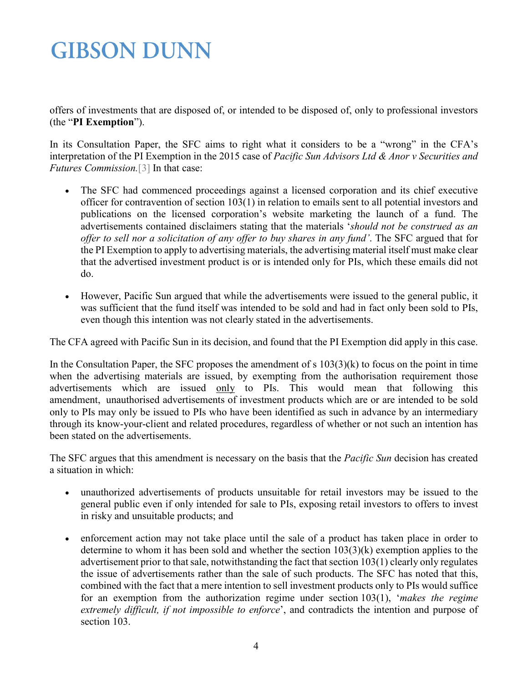offers of investments that are disposed of, or intended to be disposed of, only to professional investors (the "**PI Exemption**").

In its Consultation Paper, the SFC aims to right what it considers to be a "wrong" in the CFA's interpretation of the PI Exemption in the 2015 case of *Pacific Sun Advisors Ltd & Anor v Securities and Futures Commission.*[\[3\]](#page-5-2) In that case:

- The SFC had commenced proceedings against a licensed corporation and its chief executive officer for contravention of section 103(1) in relation to emails sent to all potential investors and publications on the licensed corporation's website marketing the launch of a fund. The advertisements contained disclaimers stating that the materials '*should not be construed as an offer to sell nor a solicitation of any offer to buy shares in any fund'*. The SFC argued that for the PI Exemption to apply to advertising materials, the advertising material itself must make clear that the advertised investment product is or is intended only for PIs, which these emails did not do.
- However, Pacific Sun argued that while the advertisements were issued to the general public, it was sufficient that the fund itself was intended to be sold and had in fact only been sold to PIs, even though this intention was not clearly stated in the advertisements.

The CFA agreed with Pacific Sun in its decision, and found that the PI Exemption did apply in this case.

In the Consultation Paper, the SFC proposes the amendment of  $s$  103(3)(k) to focus on the point in time when the advertising materials are issued, by exempting from the authorisation requirement those advertisements which are issued only to PIs. This would mean that following this amendment, unauthorised advertisements of investment products which are or are intended to be sold only to PIs may only be issued to PIs who have been identified as such in advance by an intermediary through its know-your-client and related procedures, regardless of whether or not such an intention has been stated on the advertisements.

The SFC argues that this amendment is necessary on the basis that the *Pacific Sun* decision has created a situation in which:

- unauthorized advertisements of products unsuitable for retail investors may be issued to the general public even if only intended for sale to PIs, exposing retail investors to offers to invest in risky and unsuitable products; and
- enforcement action may not take place until the sale of a product has taken place in order to determine to whom it has been sold and whether the section 103(3)(k) exemption applies to the advertisement prior to that sale, notwithstanding the fact that section 103(1) clearly only regulates the issue of advertisements rather than the sale of such products. The SFC has noted that this, combined with the fact that a mere intention to sell investment products only to PIs would suffice for an exemption from the authorization regime under section 103(1), '*makes the regime extremely difficult, if not impossible to enforce*', and contradicts the intention and purpose of section 103.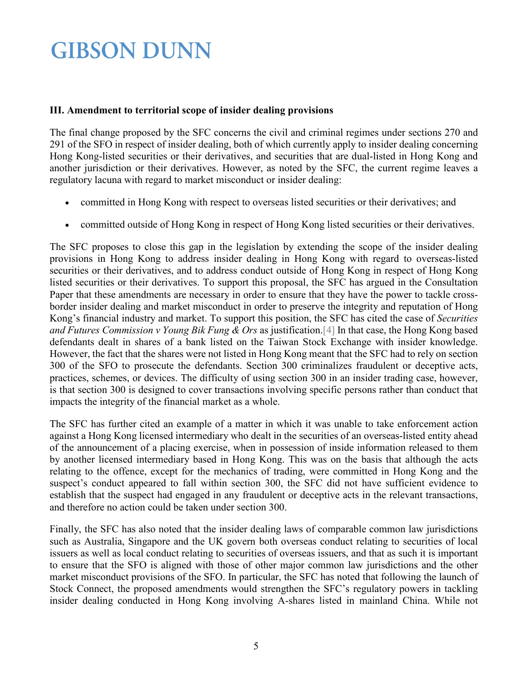#### **III. Amendment to territorial scope of insider dealing provisions**

The final change proposed by the SFC concerns the civil and criminal regimes under sections 270 and 291 of the SFO in respect of insider dealing, both of which currently apply to insider dealing concerning Hong Kong-listed securities or their derivatives, and securities that are dual-listed in Hong Kong and another jurisdiction or their derivatives. However, as noted by the SFC, the current regime leaves a regulatory lacuna with regard to market misconduct or insider dealing:

- committed in Hong Kong with respect to overseas listed securities or their derivatives; and
- committed outside of Hong Kong in respect of Hong Kong listed securities or their derivatives.

The SFC proposes to close this gap in the legislation by extending the scope of the insider dealing provisions in Hong Kong to address insider dealing in Hong Kong with regard to overseas-listed securities or their derivatives, and to address conduct outside of Hong Kong in respect of Hong Kong listed securities or their derivatives. To support this proposal, the SFC has argued in the Consultation Paper that these amendments are necessary in order to ensure that they have the power to tackle crossborder insider dealing and market misconduct in order to preserve the integrity and reputation of Hong Kong's financial industry and market. To support this position, the SFC has cited the case of *Securities and Futures Commission v Young Bik Fung & Ors* as justification[.\[4\]](#page-0-0) In that case, the Hong Kong based defendants dealt in shares of a bank listed on the Taiwan Stock Exchange with insider knowledge. However, the fact that the shares were not listed in Hong Kong meant that the SFC had to rely on section 300 of the SFO to prosecute the defendants. Section 300 criminalizes fraudulent or deceptive acts, practices, schemes, or devices. The difficulty of using section 300 in an insider trading case, however, is that section 300 is designed to cover transactions involving specific persons rather than conduct that impacts the integrity of the financial market as a whole.

The SFC has further cited an example of a matter in which it was unable to take enforcement action against a Hong Kong licensed intermediary who dealt in the securities of an overseas-listed entity ahead of the announcement of a placing exercise, when in possession of inside information released to them by another licensed intermediary based in Hong Kong. This was on the basis that although the acts relating to the offence, except for the mechanics of trading, were committed in Hong Kong and the suspect's conduct appeared to fall within section 300, the SFC did not have sufficient evidence to establish that the suspect had engaged in any fraudulent or deceptive acts in the relevant transactions, and therefore no action could be taken under section 300.

Finally, the SFC has also noted that the insider dealing laws of comparable common law jurisdictions such as Australia, Singapore and the UK govern both overseas conduct relating to securities of local issuers as well as local conduct relating to securities of overseas issuers, and that as such it is important to ensure that the SFO is aligned with those of other major common law jurisdictions and the other market misconduct provisions of the SFO. In particular, the SFC has noted that following the launch of Stock Connect, the proposed amendments would strengthen the SFC's regulatory powers in tackling insider dealing conducted in Hong Kong involving A-shares listed in mainland China. While not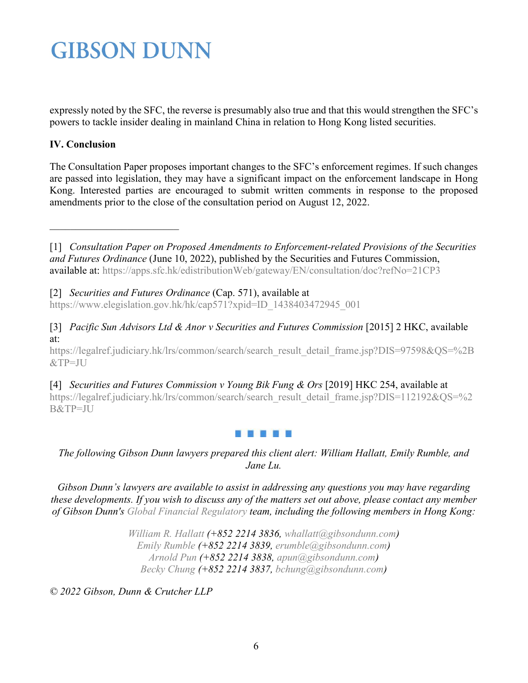expressly noted by the SFC, the reverse is presumably also true and that this would strengthen the SFC's powers to tackle insider dealing in mainland China in relation to Hong Kong listed securities.

#### **IV. Conclusion**

<span id="page-5-0"></span>\_\_\_\_\_\_\_\_\_\_\_\_\_\_\_\_\_\_\_\_\_\_\_\_\_

The Consultation Paper proposes important changes to the SFC's enforcement regimes. If such changes are passed into legislation, they may have a significant impact on the enforcement landscape in Hong Kong. Interested parties are encouraged to submit written comments in response to the proposed amendments prior to the close of the consultation period on August 12, 2022.

[1] *Consultation Paper on Proposed Amendments to Enforcement-related Provisions of the Securities and Futures Ordinance* (June 10, 2022), published by the Securities and Futures Commission, available at:<https://apps.sfc.hk/edistributionWeb/gateway/EN/consultation/doc?refNo=21CP3>

<span id="page-5-1"></span>[2] *Securities and Futures Ordinance* (Cap. 571), available at [https://www.elegislation.gov.hk/hk/cap571?xpid=ID\\_1438403472945\\_001](https://www.elegislation.gov.hk/hk/cap571?xpid=ID_1438403472945_001)

<span id="page-5-2"></span>[3] *Pacific Sun Advisors Ltd & Anor v Securities and Futures Commission* [2015] 2 HKC, available at:

[https://legalref.judiciary.hk/lrs/common/search/search\\_result\\_detail\\_frame.jsp?DIS=97598&QS=%2B](https://legalref.judiciary.hk/lrs/common/search/search_result_detail_frame.jsp?DIS=97598&QS=%2B&TP=JU) [&TP=JU](https://legalref.judiciary.hk/lrs/common/search/search_result_detail_frame.jsp?DIS=97598&QS=%2B&TP=JU)

[4] *Securities and Futures Commission v Young Bik Fung & Ors* [2019] HKC 254, available at [https://legalref.judiciary.hk/lrs/common/search/search\\_result\\_detail\\_frame.jsp?DIS=112192&QS=%2](https://legalref.judiciary.hk/lrs/common/search/search_result_detail_frame.jsp?DIS=112192&QS=%2B&TP=JU) [B&TP=JU](https://legalref.judiciary.hk/lrs/common/search/search_result_detail_frame.jsp?DIS=112192&QS=%2B&TP=JU)

#### 时间形成 医前角

*The following Gibson Dunn lawyers prepared this client alert: William Hallatt, Emily Rumble, and Jane Lu.*

*Gibson Dunn's lawyers are available to assist in addressing any questions you may have regarding these developments. If you wish to discuss any of the matters set out above, please contact any member of Gibson Dunn's [Global Financial Regulatory](https://www.gibsondunn.com/practice/global-financial-regulatory/) team, including the following members in Hong Kong:*

> *[William R. Hallatt](https://www.gibsondunn.com/lawyer/hallatt-william-r/) (+852 2214 3836, [whallatt@gibsondunn.com\)](mailto:whallatt@gibsondunn.com) [Emily Rumble](https://www.gibsondunn.com/lawyer/rumble-emily/) (+852 2214 3839, [erumble@gibsondunn.com\)](mailto:erumble@gibsondunn.com) [Arnold Pun](https://www.gibsondunn.com/lawyer/pun-arnold/) (+852 2214 3838, [apun@gibsondunn.com\)](mailto:apun@gibsondunn.com) [Becky Chung](https://www.gibsondunn.com/lawyer/chung-becky/) (+852 2214 3837, [bchung@gibsondunn.com\)](mailto:bchung@gibsondunn.com)*

*© 2022 Gibson, Dunn & Crutcher LLP*